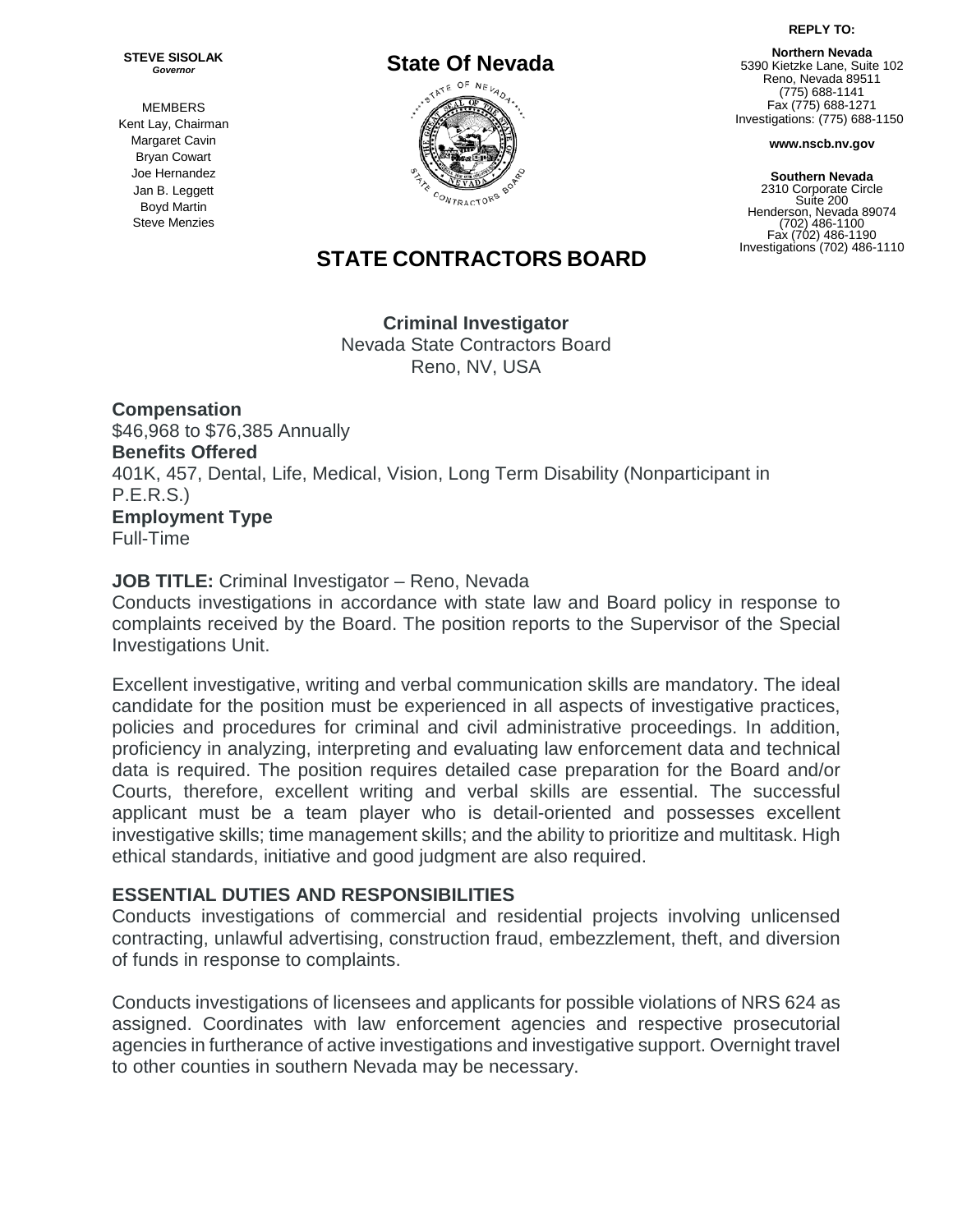**REPLY TO:**

**Northern Nevada** 5390 Kietzke Lane, Suite 102 Reno, Nevada 89511 (775) 688-1141 Fax (775) 688-1271 Investigations: (775) 688-1150

**www.nscb.nv.gov**

**Southern Nevada** 2310 Corporate Circle Suite 200 Henderson, Nevada 89074 (702) 486-1100 Fax (702) 486-1190 Investigations (702) 486-1110

**STEVE SISOLAK** *Governor*

MEMBERS Kent Lay, Chairman Margaret Cavin Bryan Cowart Joe Hernandez Jan B. Leggett Boyd Martin Steve Menzies

# **STATE CONTRACTORS BOARD**

**Criminal Investigator** Nevada State [Contractors](https://www.ziprecruiter.com/c/Nevada-State-Contractors-Board/Jobs) Board [Reno, NV,](http://maps.google.com/?q=Henderson%2C%20NV%2C%20USA&z=9) USA

**Compensation** \$46,968 to \$76,385 Annually **Benefits Offered** 401K, 457, Dental, Life, Medical, Vision, Long Term Disability (Nonparticipant in P.E.R.S.) **Employment Type** Full-Time

### **JOB TITLE:** Criminal Investigator – Reno, Nevada

Conducts investigations in accordance with state law and Board policy in response to complaints received by the Board. The position reports to the Supervisor of the Special Investigations Unit.

Excellent investigative, writing and verbal communication skills are mandatory. The ideal candidate for the position must be experienced in all aspects of investigative practices, policies and procedures for criminal and civil administrative proceedings. In addition, proficiency in analyzing, interpreting and evaluating law enforcement data and technical data is required. The position requires detailed case preparation for the Board and/or Courts, therefore, excellent writing and verbal skills are essential. The successful applicant must be a team player who is detail-oriented and possesses excellent investigative skills; time management skills; and the ability to prioritize and multitask. High ethical standards, initiative and good judgment are also required.

### **ESSENTIAL DUTIES AND RESPONSIBILITIES**

Conducts investigations of commercial and residential projects involving unlicensed contracting, unlawful advertising, construction fraud, embezzlement, theft, and diversion of funds in response to complaints.

Conducts investigations of licensees and applicants for possible violations of NRS 624 as assigned. Coordinates with law enforcement agencies and respective prosecutorial agencies in furtherance of active investigations and investigative support. Overnight travel to other counties in southern Nevada may be necessary.

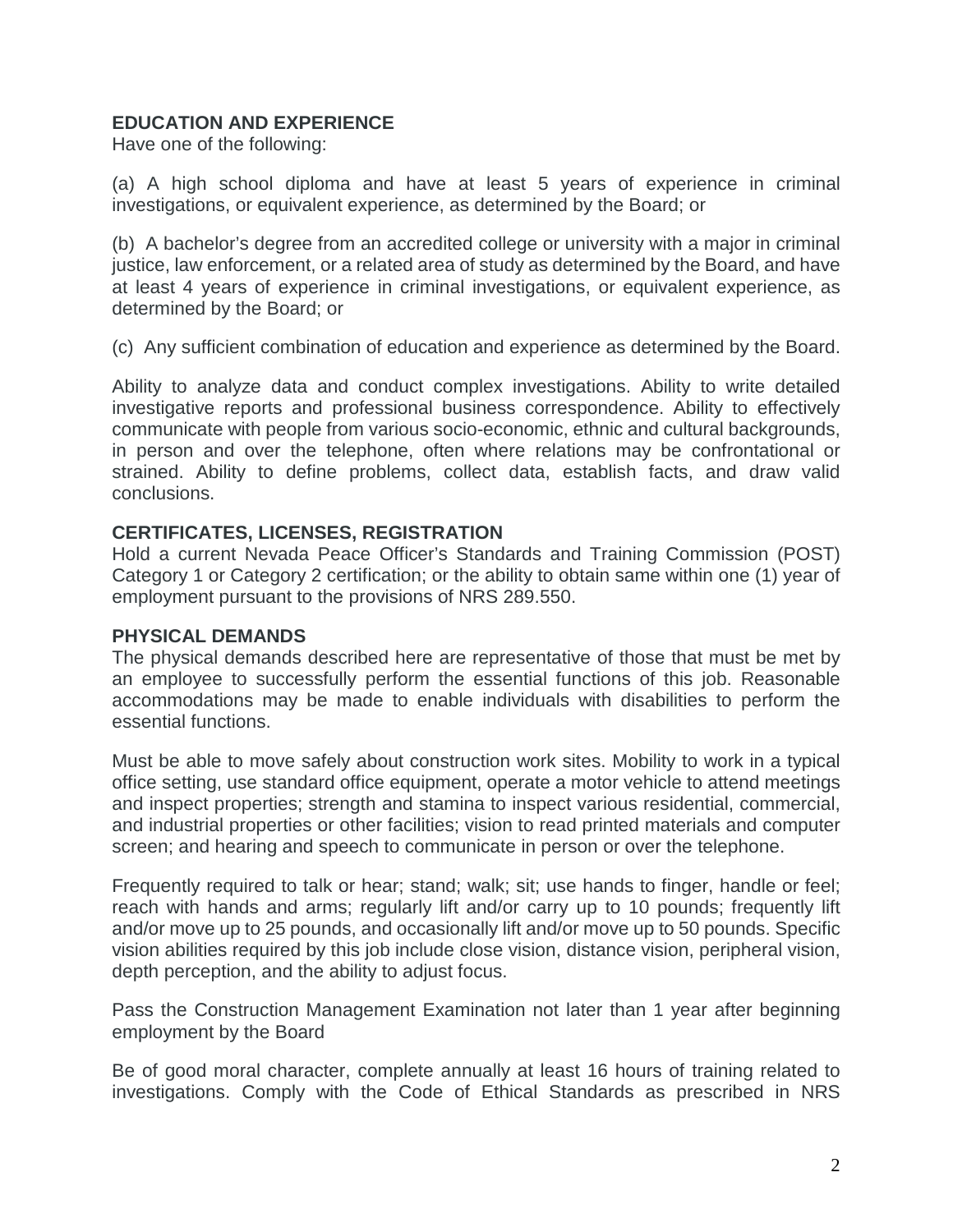## **EDUCATION AND EXPERIENCE**

Have one of the following:

(a) A high school diploma and have at least 5 years of experience in criminal investigations, or equivalent experience, as determined by the Board; or

(b) A bachelor's degree from an accredited college or university with a major in criminal justice, law enforcement, or a related area of study as determined by the Board, and have at least 4 years of experience in criminal investigations, or equivalent experience, as determined by the Board; or

(c) Any sufficient combination of education and experience as determined by the Board.

Ability to analyze data and conduct complex investigations. Ability to write detailed investigative reports and professional business correspondence. Ability to effectively communicate with people from various socio-economic, ethnic and cultural backgrounds, in person and over the telephone, often where relations may be confrontational or strained. Ability to define problems, collect data, establish facts, and draw valid conclusions.

## **CERTIFICATES, LICENSES, REGISTRATION**

Hold a current Nevada Peace Officer's Standards and Training Commission (POST) Category 1 or Category 2 certification; or the ability to obtain same within one (1) year of employment pursuant to the provisions of NRS 289.550.

## **PHYSICAL DEMANDS**

The physical demands described here are representative of those that must be met by an employee to successfully perform the essential functions of this job. Reasonable accommodations may be made to enable individuals with disabilities to perform the essential functions.

Must be able to move safely about construction work sites. Mobility to work in a typical office setting, use standard office equipment, operate a motor vehicle to attend meetings and inspect properties; strength and stamina to inspect various residential, commercial, and industrial properties or other facilities; vision to read printed materials and computer screen; and hearing and speech to communicate in person or over the telephone.

Frequently required to talk or hear; stand; walk; sit; use hands to finger, handle or feel; reach with hands and arms; regularly lift and/or carry up to 10 pounds; frequently lift and/or move up to 25 pounds, and occasionally lift and/or move up to 50 pounds. Specific vision abilities required by this job include close vision, distance vision, peripheral vision, depth perception, and the ability to adjust focus.

Pass the Construction Management Examination not later than 1 year after beginning employment by the Board

Be of good moral character, complete annually at least 16 hours of training related to investigations. Comply with the Code of Ethical Standards as prescribed in NRS